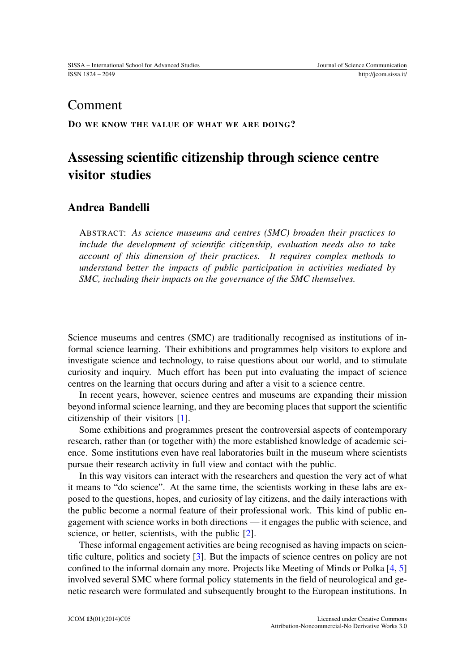## Comment

DO WE KNOW THE VALUE OF WHAT WE ARE DOING?

# Assessing scientific citizenship through science centre visitor studies

### Andrea Bandelli

ABSTRACT: *As science museums and centres (SMC) broaden their practices to include the development of scientific citizenship, evaluation needs also to take account of this dimension of their practices. It requires complex methods to understand better the impacts of public participation in activities mediated by SMC, including their impacts on the governance of the SMC themselves.*

Science museums and centres (SMC) are traditionally recognised as institutions of informal science learning. Their exhibitions and programmes help visitors to explore and investigate science and technology, to raise questions about our world, and to stimulate curiosity and inquiry. Much effort has been put into evaluating the impact of science centres on the learning that occurs during and after a visit to a science centre.

In recent years, however, science centres and museums are expanding their mission beyond informal science learning, and they are becoming places that support the scientific citizenship of their visitors [\[1\]](#page-2-0).

Some exhibitions and programmes present the controversial aspects of contemporary research, rather than (or together with) the more established knowledge of academic science. Some institutions even have real laboratories built in the museum where scientists pursue their research activity in full view and contact with the public.

In this way visitors can interact with the researchers and question the very act of what it means to "do science". At the same time, the scientists working in these labs are exposed to the questions, hopes, and curiosity of lay citizens, and the daily interactions with the public become a normal feature of their professional work. This kind of public engagement with science works in both directions — it engages the public with science, and science, or better, scientists, with the public [\[2\]](#page-2-1).

These informal engagement activities are being recognised as having impacts on scientific culture, politics and society [\[3\]](#page-2-2). But the impacts of science centres on policy are not confined to the informal domain any more. Projects like Meeting of Minds or Polka [\[4,](#page-2-3) [5\]](#page-2-4) involved several SMC where formal policy statements in the field of neurological and genetic research were formulated and subsequently brought to the European institutions. In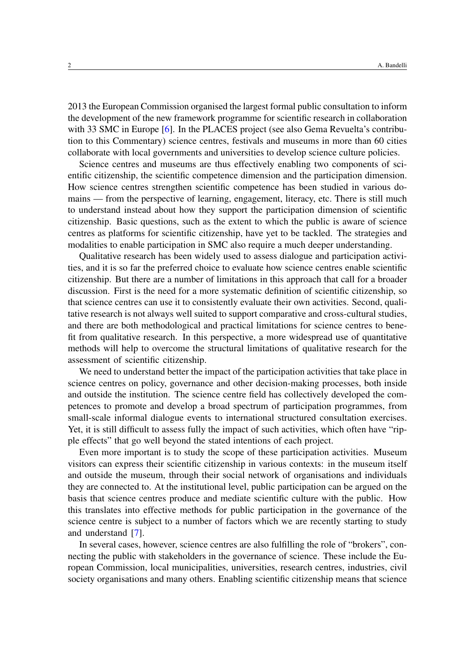2013 the European Commission organised the largest formal public consultation to inform the development of the new framework programme for scientific research in collaboration with 33 SMC in Europe [\[6\]](#page-2-5). In the PLACES project (see also Gema Revuelta's contribution to this Commentary) science centres, festivals and museums in more than 60 cities collaborate with local governments and universities to develop science culture policies.

Science centres and museums are thus effectively enabling two components of scientific citizenship, the scientific competence dimension and the participation dimension. How science centres strengthen scientific competence has been studied in various domains — from the perspective of learning, engagement, literacy, etc. There is still much to understand instead about how they support the participation dimension of scientific citizenship. Basic questions, such as the extent to which the public is aware of science centres as platforms for scientific citizenship, have yet to be tackled. The strategies and modalities to enable participation in SMC also require a much deeper understanding.

Qualitative research has been widely used to assess dialogue and participation activities, and it is so far the preferred choice to evaluate how science centres enable scientific citizenship. But there are a number of limitations in this approach that call for a broader discussion. First is the need for a more systematic definition of scientific citizenship, so that science centres can use it to consistently evaluate their own activities. Second, qualitative research is not always well suited to support comparative and cross-cultural studies, and there are both methodological and practical limitations for science centres to benefit from qualitative research. In this perspective, a more widespread use of quantitative methods will help to overcome the structural limitations of qualitative research for the assessment of scientific citizenship.

We need to understand better the impact of the participation activities that take place in science centres on policy, governance and other decision-making processes, both inside and outside the institution. The science centre field has collectively developed the competences to promote and develop a broad spectrum of participation programmes, from small-scale informal dialogue events to international structured consultation exercises. Yet, it is still difficult to assess fully the impact of such activities, which often have "ripple effects" that go well beyond the stated intentions of each project.

Even more important is to study the scope of these participation activities. Museum visitors can express their scientific citizenship in various contexts: in the museum itself and outside the museum, through their social network of organisations and individuals they are connected to. At the institutional level, public participation can be argued on the basis that science centres produce and mediate scientific culture with the public. How this translates into effective methods for public participation in the governance of the science centre is subject to a number of factors which we are recently starting to study and understand [\[7\]](#page-2-6).

In several cases, however, science centres are also fulfilling the role of "brokers", connecting the public with stakeholders in the governance of science. These include the European Commission, local municipalities, universities, research centres, industries, civil society organisations and many others. Enabling scientific citizenship means that science